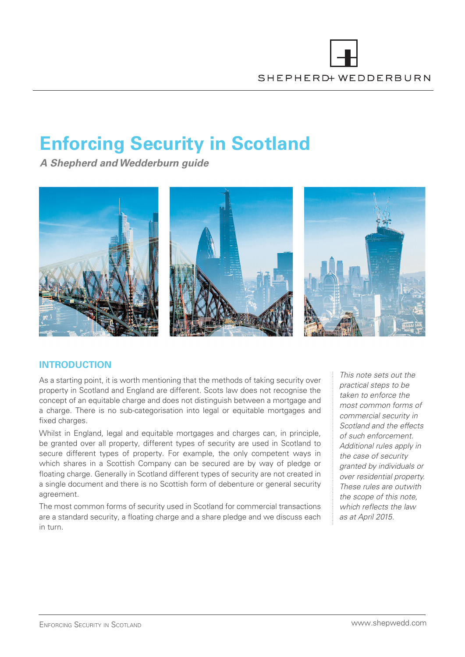# **Enforcing Security in Scotland**

**A Shepherd and Wedderburn guide**



# **INTRODUCTION**

As a starting point, it is worth mentioning that the methods of taking security over property in Scotland and England are different. Scots law does not recognise the concept of an equitable charge and does not distinguish between a mortgage and a charge. There is no sub-categorisation into legal or equitable mortgages and fixed charges.

Whilst in England, legal and equitable mortgages and charges can, in principle, be granted over all property, different types of security are used in Scotland to secure different types of property. For example, the only competent ways in which shares in a Scottish Company can be secured are by way of pledge or floating charge. Generally in Scotland different types of security are not created in a single document and there is no Scottish form of debenture or general security agreement.

The most common forms of security used in Scotland for commercial transactions are a standard security, a floating charge and a share pledge and we discuss each in turn.

This note sets out the practical steps to be taken to enforce the most common forms of commercial security in Scotland and the effects of such enforcement. Additional rules apply in the case of security granted by individuals or over residential property. These rules are outwith the scope of this note, which reflects the law as at April 2015.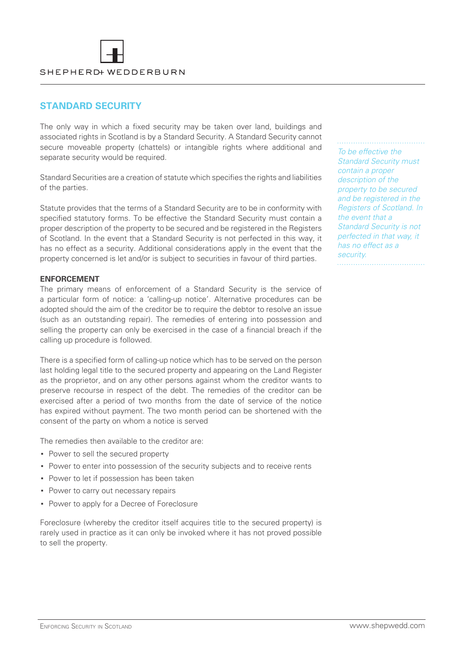## **STANDARD SECURITY**

The only way in which a fixed security may be taken over land, buildings and associated rights in Scotland is by a Standard Security. A Standard Security cannot secure moveable property (chattels) or intangible rights where additional and separate security would be required.

Standard Securities are a creation of statute which specifies the rights and liabilities of the parties.

Statute provides that the terms of a Standard Security are to be in conformity with specified statutory forms. To be effective the Standard Security must contain a proper description of the property to be secured and be registered in the Registers of Scotland. In the event that a Standard Security is not perfected in this way, it has no effect as a security. Additional considerations apply in the event that the property concerned is let and/or is subject to securities in favour of third parties.

#### **ENFORCEMENT**

The primary means of enforcement of a Standard Security is the service of a particular form of notice: a 'calling-up notice'. Alternative procedures can be adopted should the aim of the creditor be to require the debtor to resolve an issue (such as an outstanding repair). The remedies of entering into possession and selling the property can only be exercised in the case of a financial breach if the calling up procedure is followed.

There is a specified form of calling-up notice which has to be served on the person last holding legal title to the secured property and appearing on the Land Register as the proprietor, and on any other persons against whom the creditor wants to preserve recourse in respect of the debt. The remedies of the creditor can be exercised after a period of two months from the date of service of the notice has expired without payment. The two month period can be shortened with the consent of the party on whom a notice is served

The remedies then available to the creditor are:

- **▪** Power to sell the secured property
- **▪** Power to enter into possession of the security subjects and to receive rents
- **▪** Power to let if possession has been taken
- **▪** Power to carry out necessary repairs
- **▪** Power to apply for a Decree of Foreclosure

Foreclosure (whereby the creditor itself acquires title to the secured property) is rarely used in practice as it can only be invoked where it has not proved possible to sell the property.

To be effective the Standard Security must contain a proper description of the property to be secured and be registered in the Registers of Scotland. In the event that a Standard Security is not perfected in that way, it has no effect as a security.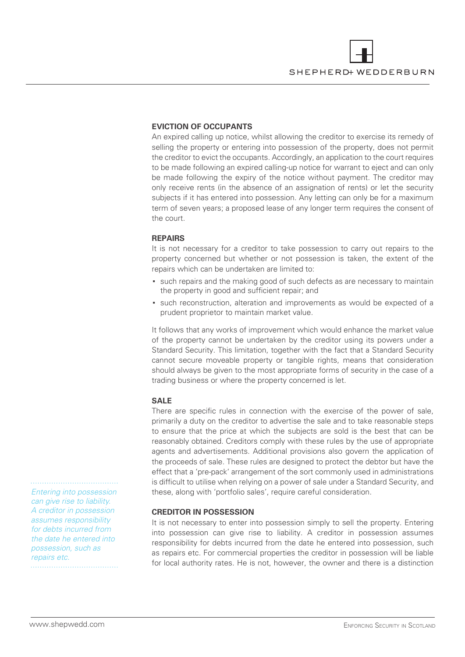

#### **EVICTION OF OCCUPANTS**

An expired calling up notice, whilst allowing the creditor to exercise its remedy of selling the property or entering into possession of the property, does not permit the creditor to evict the occupants. Accordingly, an application to the court requires to be made following an expired calling-up notice for warrant to eject and can only be made following the expiry of the notice without payment. The creditor may only receive rents (in the absence of an assignation of rents) or let the security subjects if it has entered into possession. Any letting can only be for a maximum term of seven years; a proposed lease of any longer term requires the consent of the court.

#### **REPAIRS**

It is not necessary for a creditor to take possession to carry out repairs to the property concerned but whether or not possession is taken, the extent of the repairs which can be undertaken are limited to:

- **▪** such repairs and the making good of such defects as are necessary to maintain the property in good and sufficient repair; and
- **▪** such reconstruction, alteration and improvements as would be expected of a prudent proprietor to maintain market value.

It follows that any works of improvement which would enhance the market value of the property cannot be undertaken by the creditor using its powers under a Standard Security. This limitation, together with the fact that a Standard Security cannot secure moveable property or tangible rights, means that consideration should always be given to the most appropriate forms of security in the case of a trading business or where the property concerned is let.

#### **SALE**

There are specific rules in connection with the exercise of the power of sale, primarily a duty on the creditor to advertise the sale and to take reasonable steps to ensure that the price at which the subjects are sold is the best that can be reasonably obtained. Creditors comply with these rules by the use of appropriate agents and advertisements. Additional provisions also govern the application of the proceeds of sale. These rules are designed to protect the debtor but have the effect that a 'pre-pack' arrangement of the sort commonly used in administrations is difficult to utilise when relying on a power of sale under a Standard Security, and these, along with 'portfolio sales', require careful consideration.

#### **CREDITOR IN POSSESSION**

It is not necessary to enter into possession simply to sell the property. Entering into possession can give rise to liability. A creditor in possession assumes responsibility for debts incurred from the date he entered into possession, such as repairs etc. For commercial properties the creditor in possession will be liable for local authority rates. He is not, however, the owner and there is a distinction

Entering into possession can give rise to liability. A creditor in possession assumes responsibility for debts incurred from the date he entered into possession, such as repairs etc.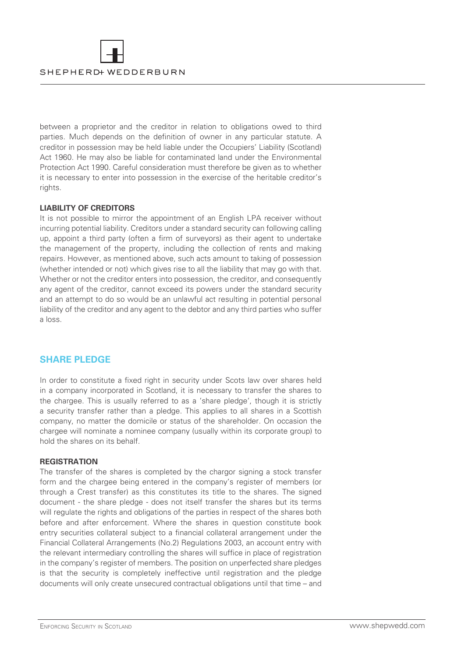

between a proprietor and the creditor in relation to obligations owed to third parties. Much depends on the definition of owner in any particular statute. A creditor in possession may be held liable under the Occupiers' Liability (Scotland) Act 1960. He may also be liable for contaminated land under the Environmental Protection Act 1990. Careful consideration must therefore be given as to whether it is necessary to enter into possession in the exercise of the heritable creditor's rights.

#### **LIABILITY OF CREDITORS**

It is not possible to mirror the appointment of an English LPA receiver without incurring potential liability. Creditors under a standard security can following calling up, appoint a third party (often a firm of surveyors) as their agent to undertake the management of the property, including the collection of rents and making repairs. However, as mentioned above, such acts amount to taking of possession (whether intended or not) which gives rise to all the liability that may go with that. Whether or not the creditor enters into possession, the creditor, and consequently any agent of the creditor, cannot exceed its powers under the standard security and an attempt to do so would be an unlawful act resulting in potential personal liability of the creditor and any agent to the debtor and any third parties who suffer a loss.

## **SHARE PLEDGE**

In order to constitute a fixed right in security under Scots law over shares held in a company incorporated in Scotland, it is necessary to transfer the shares to the chargee. This is usually referred to as a 'share pledge', though it is strictly a security transfer rather than a pledge. This applies to all shares in a Scottish company, no matter the domicile or status of the shareholder. On occasion the chargee will nominate a nominee company (usually within its corporate group) to hold the shares on its behalf.

#### **REGISTRATION**

The transfer of the shares is completed by the chargor signing a stock transfer form and the chargee being entered in the company's register of members (or through a Crest transfer) as this constitutes its title to the shares. The signed document - the share pledge - does not itself transfer the shares but its terms will regulate the rights and obligations of the parties in respect of the shares both before and after enforcement. Where the shares in question constitute book entry securities collateral subject to a financial collateral arrangement under the Financial Collateral Arrangements (No.2) Regulations 2003, an account entry with the relevant intermediary controlling the shares will suffice in place of registration in the company's register of members. The position on unperfected share pledges is that the security is completely ineffective until registration and the pledge documents will only create unsecured contractual obligations until that time – and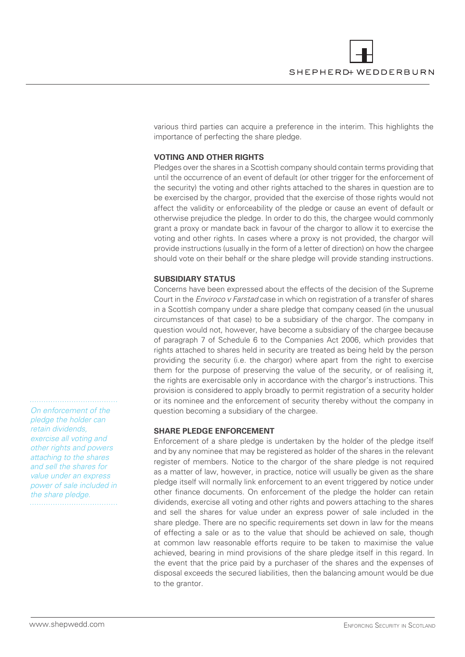

various third parties can acquire a preference in the interim. This highlights the importance of perfecting the share pledge.

#### **VOTING AND OTHER RIGHTS**

Pledges over the shares in a Scottish company should contain terms providing that until the occurrence of an event of default (or other trigger for the enforcement of the security) the voting and other rights attached to the shares in question are to be exercised by the chargor, provided that the exercise of those rights would not affect the validity or enforceability of the pledge or cause an event of default or otherwise prejudice the pledge. In order to do this, the chargee would commonly grant a proxy or mandate back in favour of the chargor to allow it to exercise the voting and other rights. In cases where a proxy is not provided, the chargor will provide instructions (usually in the form of a letter of direction) on how the chargee should vote on their behalf or the share pledge will provide standing instructions.

#### **SUBSIDIARY STATUS**

Concerns have been expressed about the effects of the decision of the Supreme Court in the Enviroco v Farstad case in which on registration of a transfer of shares in a Scottish company under a share pledge that company ceased (in the unusual circumstances of that case) to be a subsidiary of the chargor. The company in question would not, however, have become a subsidiary of the chargee because of paragraph 7 of Schedule 6 to the Companies Act 2006, which provides that rights attached to shares held in security are treated as being held by the person providing the security (i.e. the chargor) where apart from the right to exercise them for the purpose of preserving the value of the security, or of realising it, the rights are exercisable only in accordance with the chargor's instructions. This provision is considered to apply broadly to permit registration of a security holder or its nominee and the enforcement of security thereby without the company in question becoming a subsidiary of the chargee.

#### **SHARE PLEDGE ENFORCEMENT**

Enforcement of a share pledge is undertaken by the holder of the pledge itself and by any nominee that may be registered as holder of the shares in the relevant register of members. Notice to the chargor of the share pledge is not required as a matter of law, however, in practice, notice will usually be given as the share pledge itself will normally link enforcement to an event triggered by notice under other finance documents. On enforcement of the pledge the holder can retain dividends, exercise all voting and other rights and powers attaching to the shares and sell the shares for value under an express power of sale included in the share pledge. There are no specific requirements set down in law for the means of effecting a sale or as to the value that should be achieved on sale, though at common law reasonable efforts require to be taken to maximise the value achieved, bearing in mind provisions of the share pledge itself in this regard. In the event that the price paid by a purchaser of the shares and the expenses of disposal exceeds the secured liabilities, then the balancing amount would be due to the grantor.

On enforcement of the pledge the holder can retain dividends, exercise all voting and other rights and powers attaching to the shares and sell the shares for value under an express power of sale included in the share pledge.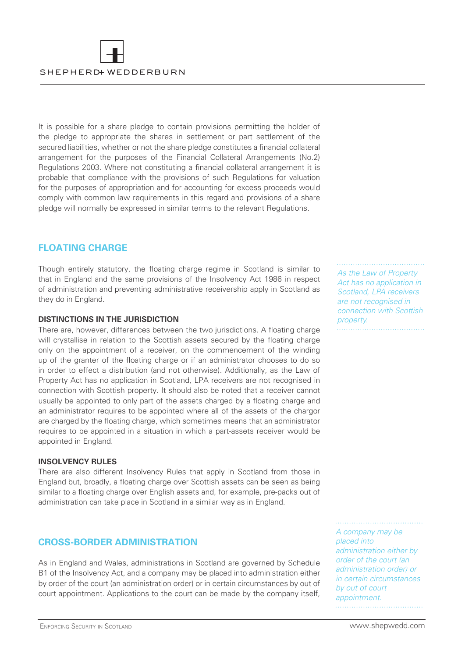

It is possible for a share pledge to contain provisions permitting the holder of the pledge to appropriate the shares in settlement or part settlement of the secured liabilities, whether or not the share pledge constitutes a financial collateral arrangement for the purposes of the Financial Collateral Arrangements (No.2) Regulations 2003. Where not constituting a financial collateral arrangement it is probable that compliance with the provisions of such Regulations for valuation for the purposes of appropriation and for accounting for excess proceeds would comply with common law requirements in this regard and provisions of a share pledge will normally be expressed in similar terms to the relevant Regulations.

## **FLOATING CHARGE**

Though entirely statutory, the floating charge regime in Scotland is similar to that in England and the same provisions of the Insolvency Act 1986 in respect of administration and preventing administrative receivership apply in Scotland as they do in England.

### **DISTINCTIONS IN THE JURISDICTION**

There are, however, differences between the two jurisdictions. A floating charge will crystallise in relation to the Scottish assets secured by the floating charge only on the appointment of a receiver, on the commencement of the winding up of the granter of the floating charge or if an administrator chooses to do so in order to effect a distribution (and not otherwise). Additionally, as the Law of Property Act has no application in Scotland, LPA receivers are not recognised in connection with Scottish property. It should also be noted that a receiver cannot usually be appointed to only part of the assets charged by a floating charge and an administrator requires to be appointed where all of the assets of the chargor are charged by the floating charge, which sometimes means that an administrator requires to be appointed in a situation in which a part-assets receiver would be appointed in England.

#### **INSOLVENCY RULES**

There are also different Insolvency Rules that apply in Scotland from those in England but, broadly, a floating charge over Scottish assets can be seen as being similar to a floating charge over English assets and, for example, pre-packs out of administration can take place in Scotland in a similar way as in England.

## **CROSS-BORDER ADMINISTRATION**

As in England and Wales, administrations in Scotland are governed by Schedule B1 of the Insolvency Act, and a company may be placed into administration either by order of the court (an administration order) or in certain circumstances by out of court appointment. Applications to the court can be made by the company itself,

As the Law of Property Act has no application in Scotland, LPA receivers are not recognised in connection with Scottish

property. 

A company may be placed into administration either by order of the court (an administration order) or in certain circumstances by out of court appointment.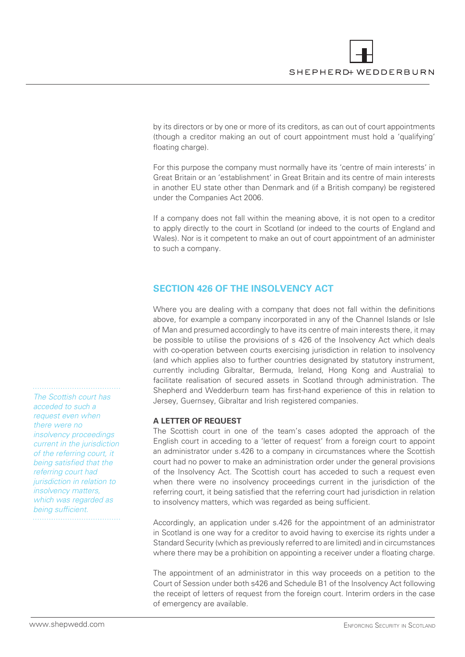

by its directors or by one or more of its creditors, as can out of court appointments (though a creditor making an out of court appointment must hold a 'qualifying' floating charge).

For this purpose the company must normally have its 'centre of main interests' in Great Britain or an 'establishment' in Great Britain and its centre of main interests in another EU state other than Denmark and (if a British company) be registered under the Companies Act 2006.

If a company does not fall within the meaning above, it is not open to a creditor to apply directly to the court in Scotland (or indeed to the courts of England and Wales). Nor is it competent to make an out of court appointment of an administer to such a company.

## **SECTION 426 OF THE INSOLVENCY ACT**

Where you are dealing with a company that does not fall within the definitions above, for example a company incorporated in any of the Channel Islands or Isle of Man and presumed accordingly to have its centre of main interests there, it may be possible to utilise the provisions of s 426 of the Insolvency Act which deals with co-operation between courts exercising jurisdiction in relation to insolvency (and which applies also to further countries designated by statutory instrument, currently including Gibraltar, Bermuda, Ireland, Hong Kong and Australia) to facilitate realisation of secured assets in Scotland through administration. The Shepherd and Wedderburn team has first-hand experience of this in relation to Jersey, Guernsey, Gibraltar and Irish registered companies.

#### **A LETTER OF REQUEST**

The Scottish court in one of the team's cases adopted the approach of the English court in acceding to a 'letter of request' from a foreign court to appoint an administrator under s.426 to a company in circumstances where the Scottish court had no power to make an administration order under the general provisions of the Insolvency Act. The Scottish court has acceded to such a request even when there were no insolvency proceedings current in the jurisdiction of the referring court, it being satisfied that the referring court had jurisdiction in relation to insolvency matters, which was regarded as being sufficient.

Accordingly, an application under s.426 for the appointment of an administrator in Scotland is one way for a creditor to avoid having to exercise its rights under a Standard Security (which as previously referred to are limited) and in circumstances where there may be a prohibition on appointing a receiver under a floating charge.

The appointment of an administrator in this way proceeds on a petition to the Court of Session under both s426 and Schedule B1 of the Insolvency Act following the receipt of letters of request from the foreign court. Interim orders in the case of emergency are available.

The Scottish court has acceded to such a request even when there were no insolvency proceedings current in the jurisdiction of the referring court, it being satisfied that the referring court had jurisdiction in relation to insolvency matters, which was regarded as being sufficient.